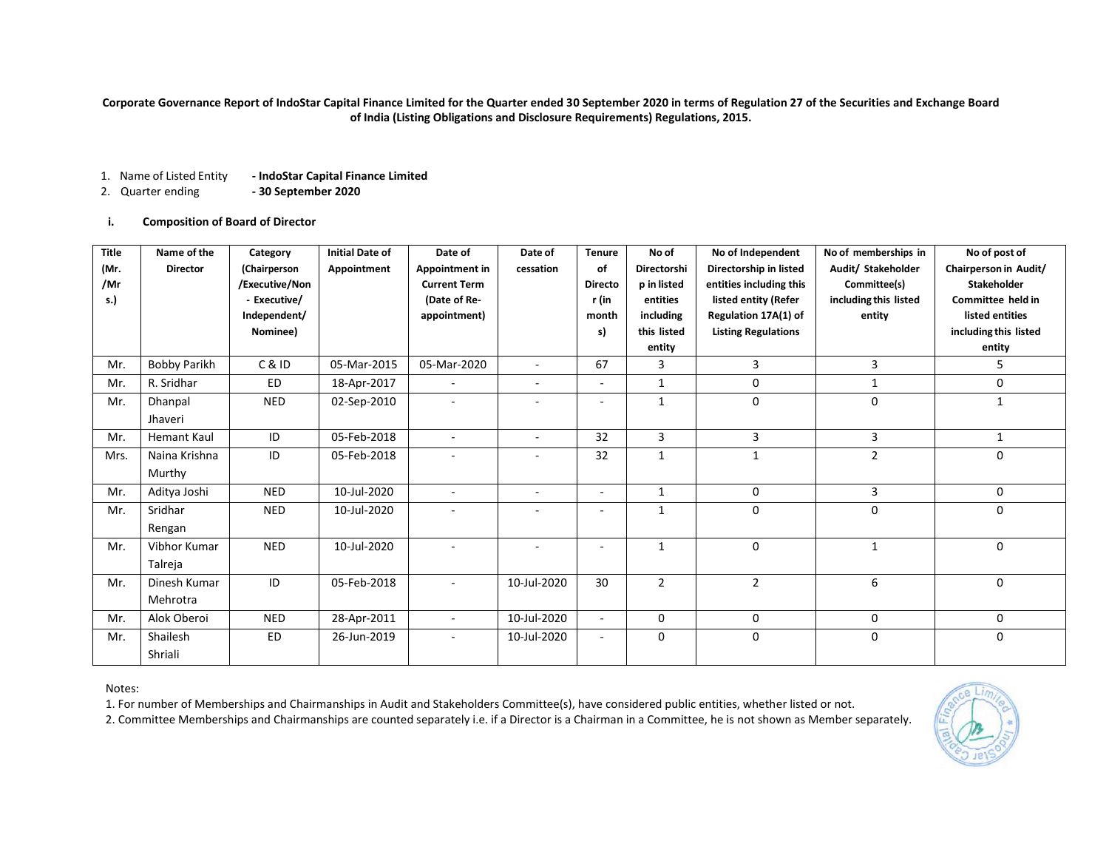**Corporate Governance Report of IndoStar Capital Finance Limited for the Quarter ended 30 September 2020 in terms of Regulation 27 of the Securities and Exchange Board of India (Listing Obligations and Disclosure Requirements) Regulations, 2015.**

- 1. Name of Listed Entity **- IndoStar Capital Finance Limited**
- 2. Quarter ending **- 30 September 2020**

## **i. Composition of Board of Director**

| Title<br>(Mr.<br>/Mr<br>s.) | Name of the<br><b>Director</b> | Category<br>(Chairperson<br>/Executive/Non<br>- Executive/<br>Independent/<br>Nominee) | <b>Initial Date of</b><br>Appointment | Date of<br>Appointment in<br><b>Current Term</b><br>(Date of Re-<br>appointment) | Date of<br>cessation     | <b>Tenure</b><br>of<br><b>Directo</b><br>r (in<br>month<br>s) | No of<br>Directorshi<br>p in listed<br>entities<br>including<br>this listed<br>entity | No of Independent<br>Directorship in listed<br>entities including this<br>listed entity (Refer<br>Regulation 17A(1) of<br><b>Listing Regulations</b> | No of memberships in<br>Audit/ Stakeholder<br>Committee(s)<br>including this listed<br>entity | No of post of<br>Chairperson in Audit/<br><b>Stakeholder</b><br>Committee held in<br>listed entities<br>including this listed<br>entity |
|-----------------------------|--------------------------------|----------------------------------------------------------------------------------------|---------------------------------------|----------------------------------------------------------------------------------|--------------------------|---------------------------------------------------------------|---------------------------------------------------------------------------------------|------------------------------------------------------------------------------------------------------------------------------------------------------|-----------------------------------------------------------------------------------------------|-----------------------------------------------------------------------------------------------------------------------------------------|
| Mr.                         | <b>Bobby Parikh</b>            | C&ID                                                                                   | 05-Mar-2015                           | 05-Mar-2020                                                                      |                          | 67                                                            | 3                                                                                     | 3                                                                                                                                                    | 3                                                                                             | 5                                                                                                                                       |
| Mr.                         | R. Sridhar                     | <b>ED</b>                                                                              | 18-Apr-2017                           | $\sim$                                                                           | $\sim$                   | $\overline{\phantom{a}}$                                      | $\mathbf{1}$                                                                          | 0                                                                                                                                                    | $\mathbf{1}$                                                                                  | 0                                                                                                                                       |
| Mr.                         | Dhanpal<br>Jhaveri             | <b>NED</b>                                                                             | 02-Sep-2010                           | $\overline{\phantom{a}}$                                                         | $\overline{\phantom{a}}$ | $\blacksquare$                                                | $\mathbf{1}$                                                                          | $\mathbf{0}$                                                                                                                                         | 0                                                                                             | $\mathbf{1}$                                                                                                                            |
| Mr.                         | <b>Hemant Kaul</b>             | ID                                                                                     | 05-Feb-2018                           | $\blacksquare$                                                                   | $\sim$                   | 32                                                            | 3                                                                                     | 3                                                                                                                                                    | 3                                                                                             | 1                                                                                                                                       |
| Mrs.                        | Naina Krishna<br>Murthy        | ID                                                                                     | 05-Feb-2018                           |                                                                                  |                          | 32                                                            | $\mathbf{1}$                                                                          | $\mathbf{1}$                                                                                                                                         | $\overline{2}$                                                                                | $\Omega$                                                                                                                                |
| Mr.                         | Aditya Joshi                   | <b>NED</b>                                                                             | 10-Jul-2020                           | $\blacksquare$                                                                   | $\sim$                   | $\overline{\phantom{a}}$                                      | 1                                                                                     | $\mathbf 0$                                                                                                                                          | 3                                                                                             | 0                                                                                                                                       |
| Mr.                         | Sridhar<br>Rengan              | <b>NED</b>                                                                             | 10-Jul-2020                           |                                                                                  |                          |                                                               | $\mathbf{1}$                                                                          | $\mathbf 0$                                                                                                                                          | 0                                                                                             | 0                                                                                                                                       |
| Mr.                         | Vibhor Kumar<br>Talreja        | <b>NED</b>                                                                             | 10-Jul-2020                           |                                                                                  |                          |                                                               | $\mathbf{1}$                                                                          | $\Omega$                                                                                                                                             | $\mathbf{1}$                                                                                  | $\Omega$                                                                                                                                |
| Mr.                         | Dinesh Kumar<br>Mehrotra       | ID                                                                                     | 05-Feb-2018                           | $\overline{\phantom{a}}$                                                         | 10-Jul-2020              | 30                                                            | $\overline{2}$                                                                        | $\overline{2}$                                                                                                                                       | 6                                                                                             | $\Omega$                                                                                                                                |
| Mr.                         | Alok Oberoi                    | <b>NED</b>                                                                             | 28-Apr-2011                           |                                                                                  | 10-Jul-2020              |                                                               | $\mathbf 0$                                                                           | $\mathbf 0$                                                                                                                                          | 0                                                                                             | 0                                                                                                                                       |
| Mr.                         | Shailesh<br>Shriali            | <b>ED</b>                                                                              | 26-Jun-2019                           |                                                                                  | 10-Jul-2020              |                                                               | $\mathbf 0$                                                                           | $\mathbf 0$                                                                                                                                          | 0                                                                                             | $\mathbf 0$                                                                                                                             |

### Notes:

1. For number of Memberships and Chairmanships in Audit and Stakeholders Committee(s), have considered public entities, whether listed or not.

2. Committee Memberships and Chairmanships are counted separately i.e. if a Director is a Chairman in a Committee, he is not shown as Member separately.

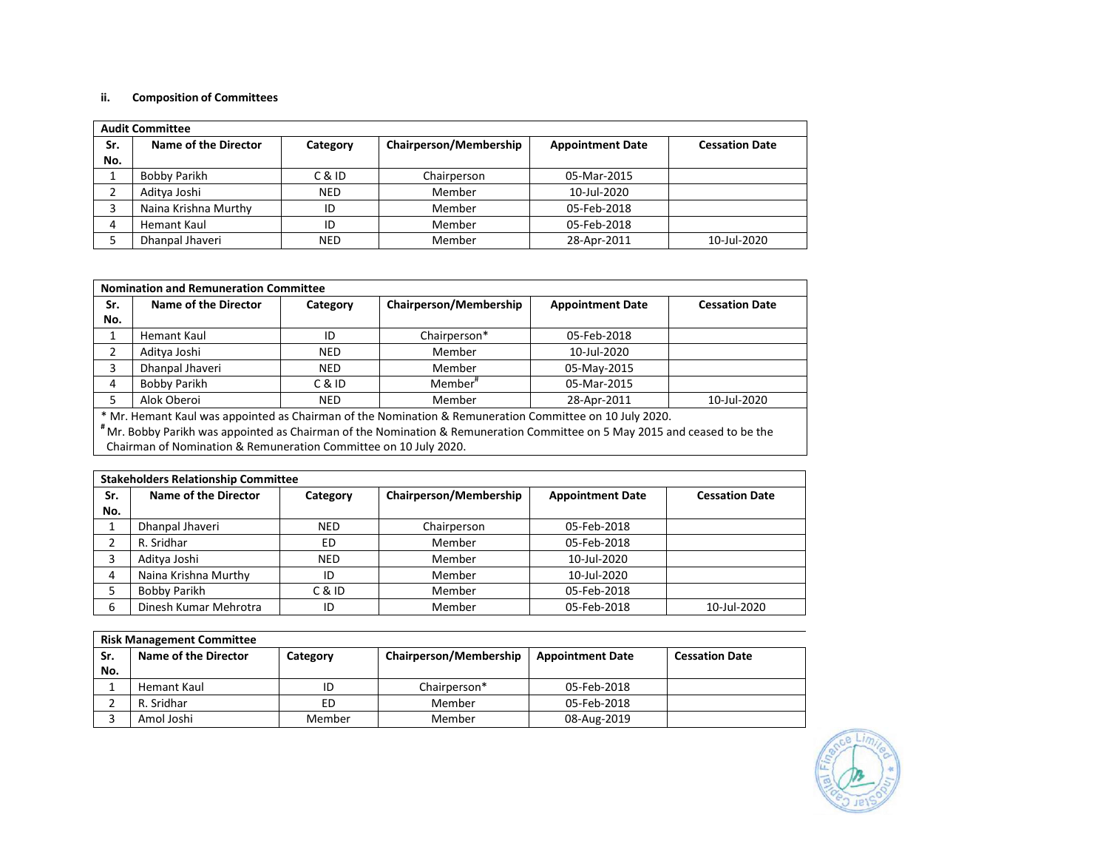## **ii. Composition of Committees**

|     | <b>Audit Committee</b> |            |                        |                         |                       |  |
|-----|------------------------|------------|------------------------|-------------------------|-----------------------|--|
| Sr. | Name of the Director   | Category   | Chairperson/Membership | <b>Appointment Date</b> | <b>Cessation Date</b> |  |
| No. |                        |            |                        |                         |                       |  |
|     | Bobby Parikh           | C & ID     | Chairperson            | 05-Mar-2015             |                       |  |
|     | Aditya Joshi           | <b>NED</b> | Member                 | 10-Jul-2020             |                       |  |
|     | Naina Krishna Murthy   | ID         | Member                 | 05-Feb-2018             |                       |  |
|     | Hemant Kaul            | ID         | Member                 | 05-Feb-2018             |                       |  |
|     | Dhanpal Jhaveri        | <b>NED</b> | Member                 | 28-Apr-2011             | 10-Jul-2020           |  |

|                | <b>Nomination and Remuneration Committee</b>                                                            |            |                        |                         |                       |  |
|----------------|---------------------------------------------------------------------------------------------------------|------------|------------------------|-------------------------|-----------------------|--|
| Sr.            | Name of the Director                                                                                    | Category   | Chairperson/Membership | <b>Appointment Date</b> | <b>Cessation Date</b> |  |
| No.            |                                                                                                         |            |                        |                         |                       |  |
|                | Hemant Kaul                                                                                             | ID         | Chairperson*           | 05-Feb-2018             |                       |  |
| $\overline{2}$ | Aditya Joshi                                                                                            | <b>NED</b> | Member                 | 10-Jul-2020             |                       |  |
| 3              | Dhanpal Jhaveri                                                                                         | <b>NED</b> | Member                 | 05-May-2015             |                       |  |
| 4              | Bobby Parikh                                                                                            | C & ID     | Member <sup>#</sup>    | 05-Mar-2015             |                       |  |
|                | Alok Oberoi                                                                                             | <b>NED</b> | Member                 | 28-Apr-2011             | 10-Jul-2020           |  |
|                | * Mr. Hemant Kaul was appointed as Chairman of the Nomination & Remuneration Committee on 10 July 2020. |            |                        |                         |                       |  |

**#** Mr. Bobby Parikh was appointed as Chairman of the Nomination & Remuneration Committee on 5 May 2015 and ceased to be the Chairman of Nomination & Remuneration Committee on 10 July 2020.

|     | <b>Stakeholders Relationship Committee</b> |            |                        |                         |                       |  |  |
|-----|--------------------------------------------|------------|------------------------|-------------------------|-----------------------|--|--|
| Sr. | Name of the Director                       | Category   | Chairperson/Membership | <b>Appointment Date</b> | <b>Cessation Date</b> |  |  |
| No. |                                            |            |                        |                         |                       |  |  |
|     | Dhanpal Jhaveri                            | <b>NED</b> | Chairperson            | 05-Feb-2018             |                       |  |  |
|     | R. Sridhar                                 | ED         | Member                 | 05-Feb-2018             |                       |  |  |
|     | Aditya Joshi                               | <b>NED</b> | Member                 | 10-Jul-2020             |                       |  |  |
| 4   | Naina Krishna Murthy                       | ID         | Member                 | 10-Jul-2020             |                       |  |  |
|     | Bobby Parikh                               | C & ID     | Member                 | 05-Feb-2018             |                       |  |  |
| 6   | Dinesh Kumar Mehrotra                      | ID         | Member                 | 05-Feb-2018             | 10-Jul-2020           |  |  |

|     | <b>Risk Management Committee</b> |          |                        |                         |                       |  |  |
|-----|----------------------------------|----------|------------------------|-------------------------|-----------------------|--|--|
| Sr. | Name of the Director             | Category | Chairperson/Membership | <b>Appointment Date</b> | <b>Cessation Date</b> |  |  |
| No. |                                  |          |                        |                         |                       |  |  |
|     | Hemant Kaul                      | ID       | Chairperson*           | 05-Feb-2018             |                       |  |  |
|     | R. Sridhar                       | ED       | Member                 | 05-Feb-2018             |                       |  |  |
|     | Amol Joshi                       | Member   | Member                 | 08-Aug-2019             |                       |  |  |

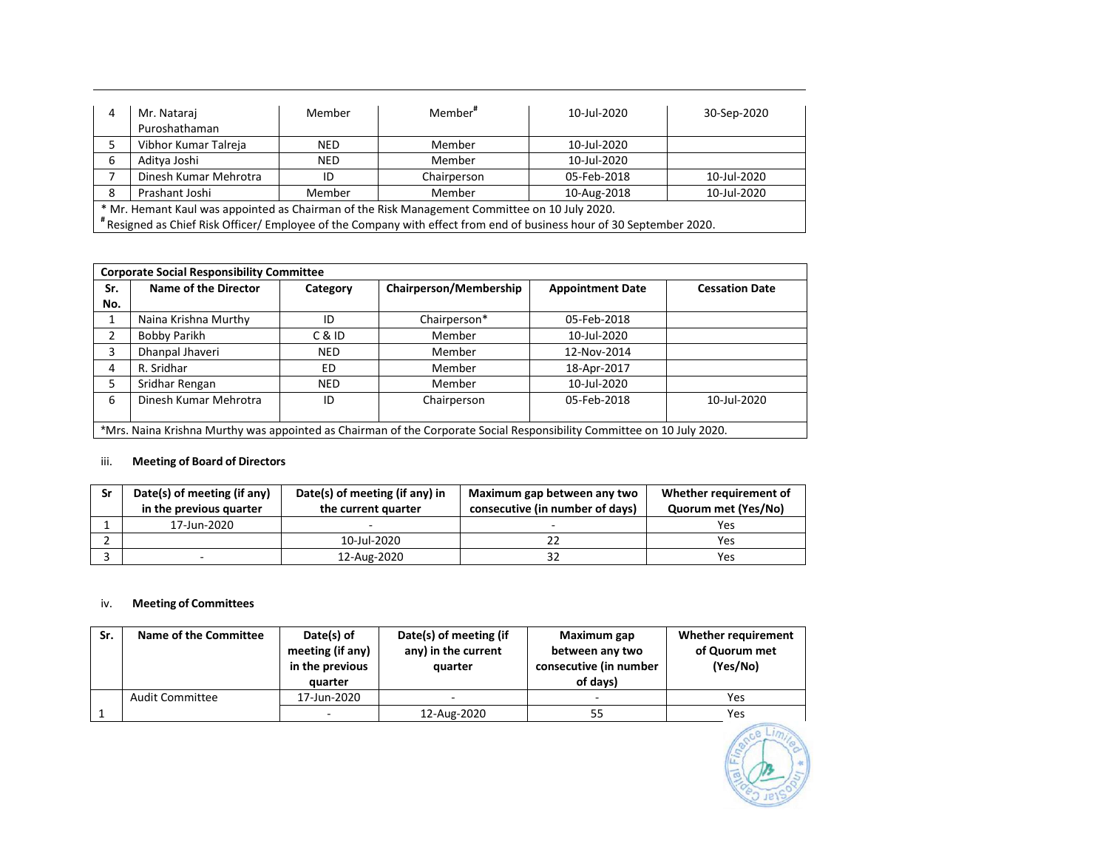| 4                                                                                             | Mr. Nataraj                                                                                                           | Member     | Member <sup>#</sup> | 10-Jul-2020 | 30-Sep-2020 |  |
|-----------------------------------------------------------------------------------------------|-----------------------------------------------------------------------------------------------------------------------|------------|---------------------|-------------|-------------|--|
|                                                                                               | Puroshathaman                                                                                                         |            |                     |             |             |  |
|                                                                                               | Vibhor Kumar Talreja                                                                                                  | <b>NED</b> | Member              | 10-Jul-2020 |             |  |
| 6                                                                                             | Aditya Joshi                                                                                                          | <b>NED</b> | Member              | 10-Jul-2020 |             |  |
|                                                                                               | Dinesh Kumar Mehrotra                                                                                                 | ID         | Chairperson         | 05-Feb-2018 | 10-Jul-2020 |  |
| 8                                                                                             | Prashant Joshi<br>10-Jul-2020<br>Member<br>Member<br>10-Aug-2018                                                      |            |                     |             |             |  |
| * Mr. Hemant Kaul was appointed as Chairman of the Risk Management Committee on 10 July 2020. |                                                                                                                       |            |                     |             |             |  |
|                                                                                               | # Resigned as Chief Risk Officer/ Employee of the Company with effect from end of business hour of 30 September 2020. |            |                     |             |             |  |

|     | <b>Corporate Social Responsibility Committee</b>                                                                       |            |                        |                         |                       |  |
|-----|------------------------------------------------------------------------------------------------------------------------|------------|------------------------|-------------------------|-----------------------|--|
| Sr. | Name of the Director                                                                                                   | Category   | Chairperson/Membership | <b>Appointment Date</b> | <b>Cessation Date</b> |  |
| No. |                                                                                                                        |            |                        |                         |                       |  |
|     | Naina Krishna Murthy                                                                                                   | ID         | Chairperson*           | 05-Feb-2018             |                       |  |
| 2   | Bobby Parikh                                                                                                           | C & ID     | Member                 | 10-Jul-2020             |                       |  |
| 3   | Dhanpal Jhaveri                                                                                                        | <b>NED</b> | Member                 | 12-Nov-2014             |                       |  |
| 4   | R. Sridhar                                                                                                             | ED         | Member                 | 18-Apr-2017             |                       |  |
| 5.  | Sridhar Rengan                                                                                                         | <b>NED</b> | Member                 | 10-Jul-2020             |                       |  |
| 6   | Dinesh Kumar Mehrotra                                                                                                  | ID         | Chairperson            | 05-Feb-2018             | 10-Jul-2020           |  |
|     |                                                                                                                        |            |                        |                         |                       |  |
|     | *Mrs. Naina Krishna Murthy was appointed as Chairman of the Corporate Social Responsibility Committee on 10 July 2020. |            |                        |                         |                       |  |

# iii. **Meeting of Board of Directors**

| Sr | Date(s) of meeting (if any)<br>in the previous quarter | Date(s) of meeting (if any) in<br>the current quarter | Maximum gap between any two<br>consecutive (in number of days) | Whether requirement of<br>Quorum met (Yes/No) |
|----|--------------------------------------------------------|-------------------------------------------------------|----------------------------------------------------------------|-----------------------------------------------|
|    | 17-Jun-2020                                            |                                                       |                                                                | Yes                                           |
|    |                                                        | 10-Jul-2020                                           |                                                                | Yes                                           |
|    |                                                        | 12-Aug-2020                                           | 32                                                             | Yes                                           |

# iv. **Meeting of Committees**

| Sr. | Name of the Committee  | Date(s) of<br>meeting (if any)<br>in the previous<br>quarter | Date(s) of meeting (if<br>any) in the current<br>quarter | Maximum gap<br>between any two<br>consecutive (in number<br>of days) | Whether requirement<br>of Quorum met<br>(Yes/No) |
|-----|------------------------|--------------------------------------------------------------|----------------------------------------------------------|----------------------------------------------------------------------|--------------------------------------------------|
|     | <b>Audit Committee</b> | 17-Jun-2020                                                  | $\overline{\phantom{a}}$                                 |                                                                      | Yes                                              |
|     |                        |                                                              | 12-Aug-2020                                              |                                                                      | <b>Yes</b>                                       |